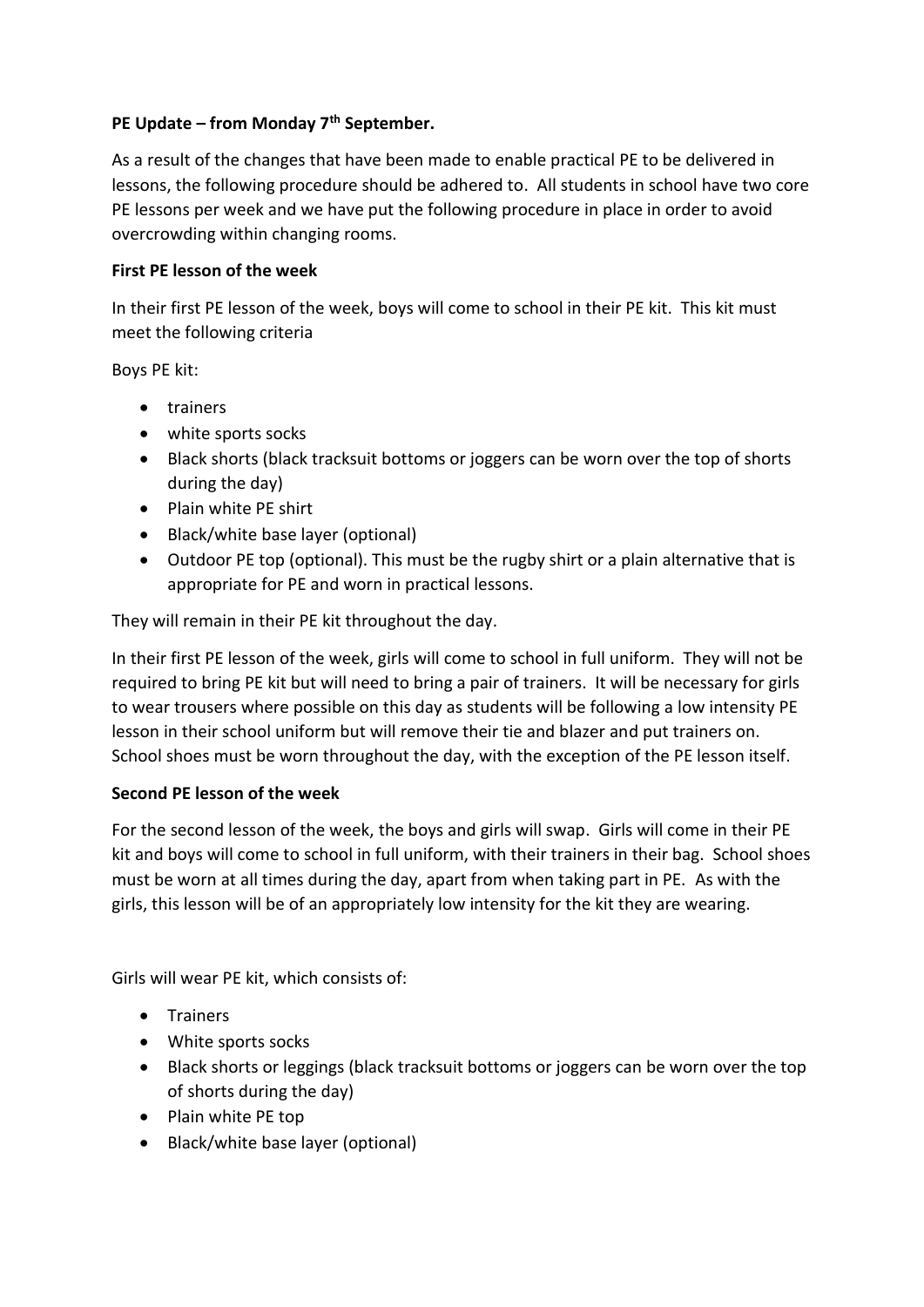## **PE Update – from Monday 7th September.**

As a result of the changes that have been made to enable practical PE to be delivered in lessons, the following procedure should be adhered to. All students in school have two core PE lessons per week and we have put the following procedure in place in order to avoid overcrowding within changing rooms.

## **First PE lesson of the week**

In their first PE lesson of the week, boys will come to school in their PE kit. This kit must meet the following criteria

Boys PE kit:

- trainers
- white sports socks
- Black shorts (black tracksuit bottoms or joggers can be worn over the top of shorts during the day)
- Plain white PE shirt
- Black/white base layer (optional)
- Outdoor PE top (optional). This must be the rugby shirt or a plain alternative that is appropriate for PE and worn in practical lessons.

They will remain in their PE kit throughout the day.

In their first PE lesson of the week, girls will come to school in full uniform. They will not be required to bring PE kit but will need to bring a pair of trainers. It will be necessary for girls to wear trousers where possible on this day as students will be following a low intensity PE lesson in their school uniform but will remove their tie and blazer and put trainers on. School shoes must be worn throughout the day, with the exception of the PE lesson itself.

## **Second PE lesson of the week**

For the second lesson of the week, the boys and girls will swap. Girls will come in their PE kit and boys will come to school in full uniform, with their trainers in their bag. School shoes must be worn at all times during the day, apart from when taking part in PE. As with the girls, this lesson will be of an appropriately low intensity for the kit they are wearing.

Girls will wear PE kit, which consists of:

- Trainers
- White sports socks
- Black shorts or leggings (black tracksuit bottoms or joggers can be worn over the top of shorts during the day)
- Plain white PE top
- Black/white base layer (optional)